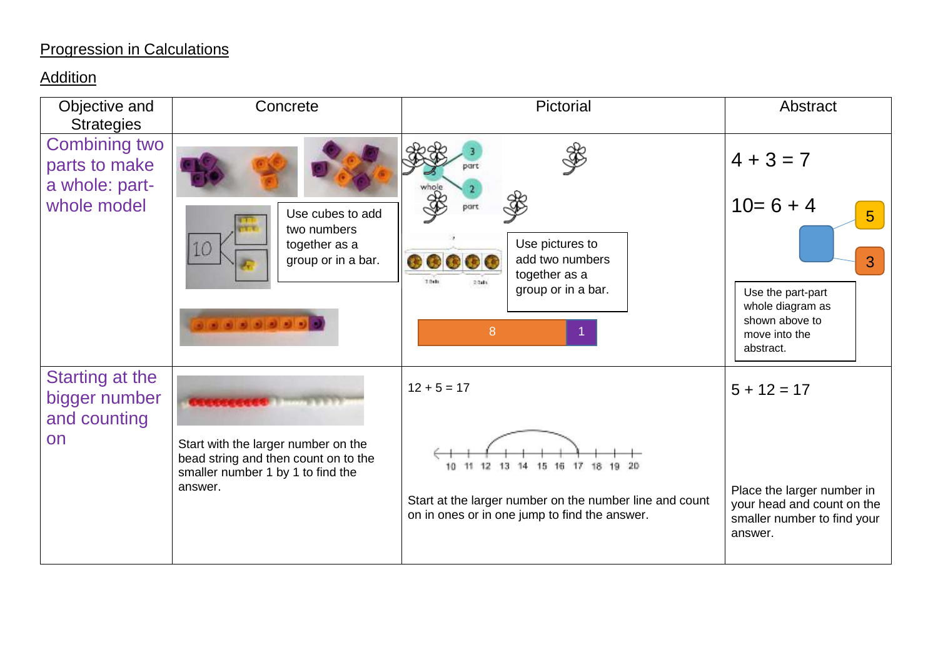# Progression in Calculations

#### **Addition**

| Objective and<br><b>Strategies</b>                      | Concrete                                                                                                         | Pictorial                                                                                                | Abstract                                                                                                                 |
|---------------------------------------------------------|------------------------------------------------------------------------------------------------------------------|----------------------------------------------------------------------------------------------------------|--------------------------------------------------------------------------------------------------------------------------|
| <b>Combining two</b><br>parts to make<br>a whole: part- |                                                                                                                  | part                                                                                                     | $4 + 3 = 7$                                                                                                              |
| whole model                                             | Use cubes to add<br>two numbers<br>together as a<br>IO<br>group or in a bar.<br>.                                | Use pictures to<br>add two numbers<br><br>together as a<br>$7.0$ sh<br>group or in a bar.<br>8           | $10=6+4$<br>$5\phantom{1}$<br>3<br>Use the part-part<br>whole diagram as<br>shown above to<br>move into the<br>abstract. |
| Starting at the<br>bigger number<br>and counting        |                                                                                                                  | $12 + 5 = 17$                                                                                            | $5 + 12 = 17$                                                                                                            |
| on                                                      | Start with the larger number on the<br>bead string and then count on to the<br>smaller number 1 by 1 to find the | 12 13 14 15 16 17 18 19 20                                                                               |                                                                                                                          |
|                                                         | answer.                                                                                                          | Start at the larger number on the number line and count<br>on in ones or in one jump to find the answer. | Place the larger number in<br>your head and count on the<br>smaller number to find your<br>answer.                       |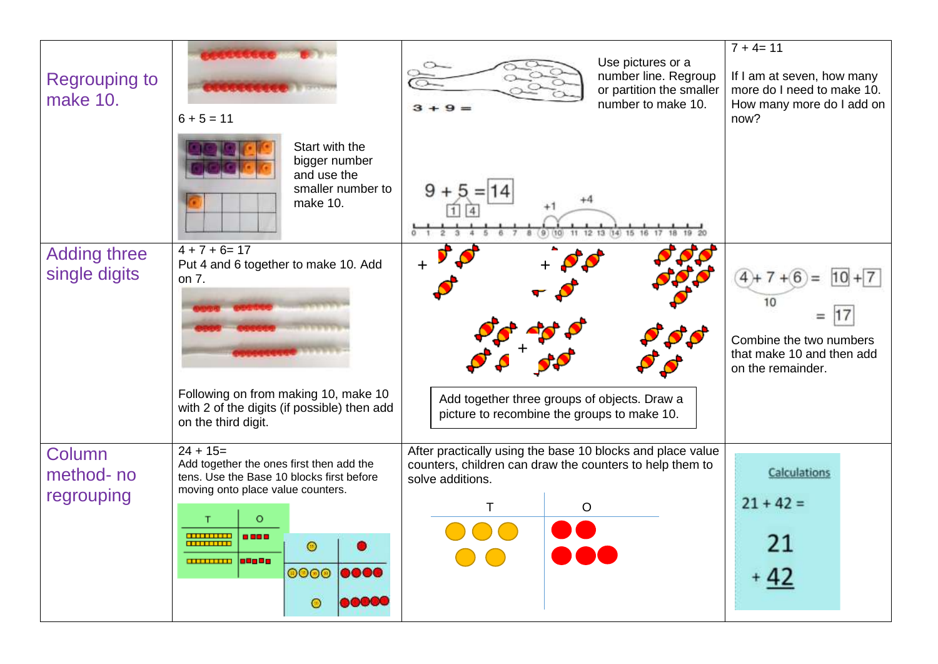| <b>Regrouping to</b><br>make 10.     | $6 + 5 = 11$                                                                                                                                                                                                        | Use pictures or a<br>number line. Regroup<br>or partition the smaller<br>number to make 10.                                                              | $\overline{7} + 4 = 11$<br>If I am at seven, how many<br>more do I need to make 10.<br>How many more do I add on<br>now? |
|--------------------------------------|---------------------------------------------------------------------------------------------------------------------------------------------------------------------------------------------------------------------|----------------------------------------------------------------------------------------------------------------------------------------------------------|--------------------------------------------------------------------------------------------------------------------------|
|                                      | Start with the<br>bigger number<br>and use the<br>smaller number to<br>make 10.                                                                                                                                     |                                                                                                                                                          |                                                                                                                          |
| <b>Adding three</b><br>single digits | $4 + 7 + 6 = 17$<br>Put 4 and 6 together to make 10. Add<br>on 7.<br>Following on from making 10, make 10<br>with 2 of the digits (if possible) then add<br>on the third digit.                                     | Add together three groups of objects. Draw a<br>picture to recombine the groups to make 10.                                                              | Combine the two numbers<br>that make 10 and then add<br>on the remainder.                                                |
| Column<br>method-no<br>regrouping    | $24 + 15 =$<br>Add together the ones first then add the<br>tens. Use the Base 10 blocks first before<br>moving onto place value counters.<br>$\odot$<br><b>COURSE 10000</b><br><b>0000 0000</b><br>00000<br>$\circ$ | After practically using the base 10 blocks and place value<br>counters, children can draw the counters to help them to<br>solve additions.<br>Ő<br>o a a | <b>Calculations</b><br>$21 + 42 =$<br>21<br>$+42$                                                                        |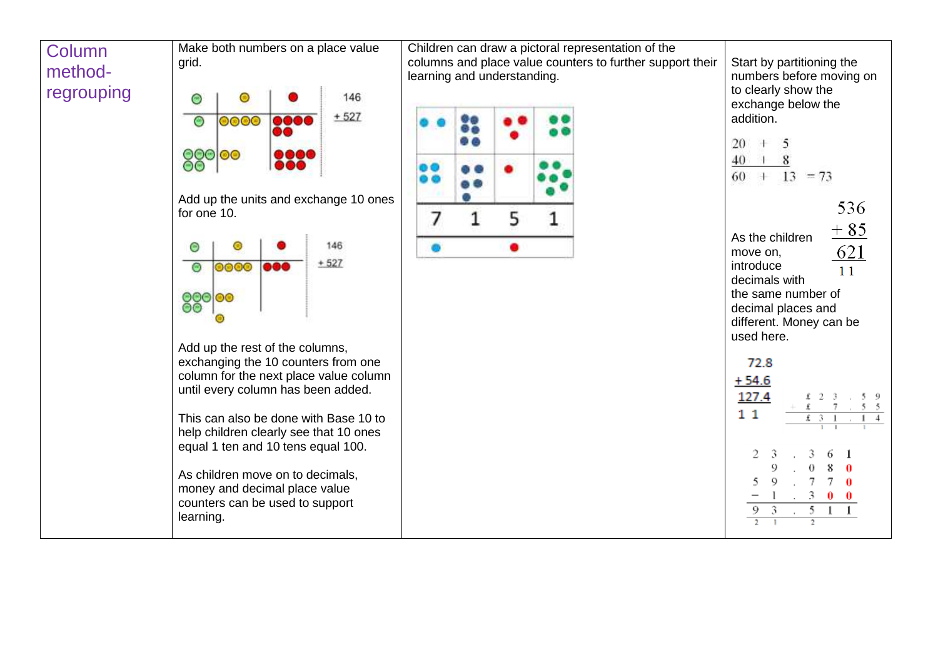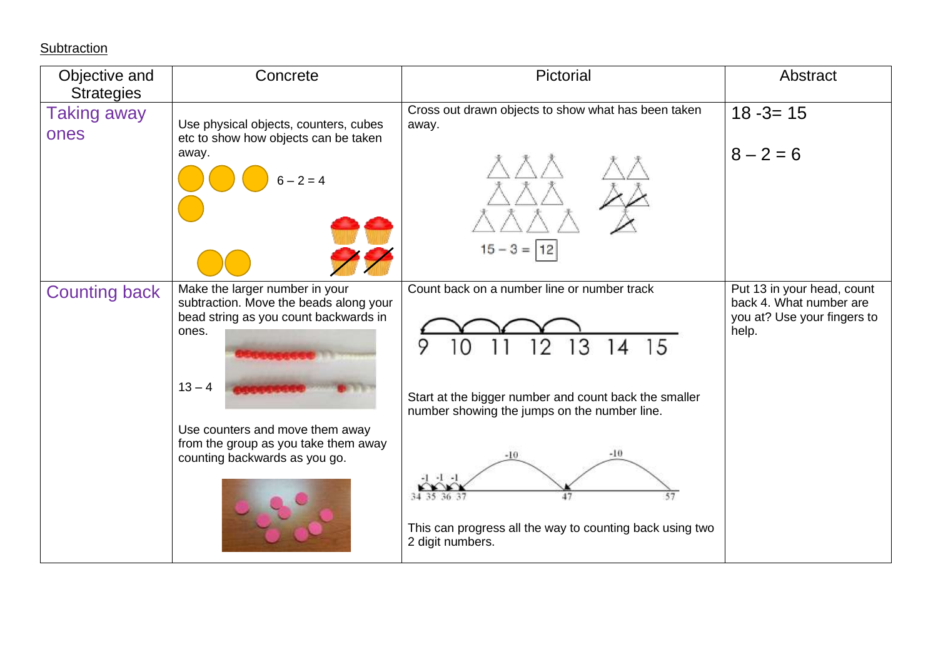**Subtraction** 

| Objective and<br><b>Strategies</b> | Concrete                                                                                                                                                                                                                                           | Pictorial                                                                                                                                                                                                                                                                                               | Abstract                                                                                      |
|------------------------------------|----------------------------------------------------------------------------------------------------------------------------------------------------------------------------------------------------------------------------------------------------|---------------------------------------------------------------------------------------------------------------------------------------------------------------------------------------------------------------------------------------------------------------------------------------------------------|-----------------------------------------------------------------------------------------------|
| Taking away<br>ones                | Use physical objects, counters, cubes<br>etc to show how objects can be taken<br>away.<br>$6 - 2 = 4$                                                                                                                                              | Cross out drawn objects to show what has been taken<br>away.<br>$15 - 3 =  12 $                                                                                                                                                                                                                         | $18 - 3 = 15$<br>$8 - 2 = 6$                                                                  |
| <b>Counting back</b>               | Make the larger number in your<br>subtraction. Move the beads along your<br>bead string as you count backwards in<br>ones.<br>$13 - 4$<br>Use counters and move them away<br>from the group as you take them away<br>counting backwards as you go. | Count back on a number line or number track<br>3<br>9<br>15<br>14<br>Start at the bigger number and count back the smaller<br>number showing the jumps on the number line.<br>$-10$<br>$-10$<br>47<br>57<br>34 35 36 37<br>This can progress all the way to counting back using two<br>2 digit numbers. | Put 13 in your head, count<br>back 4. What number are<br>you at? Use your fingers to<br>help. |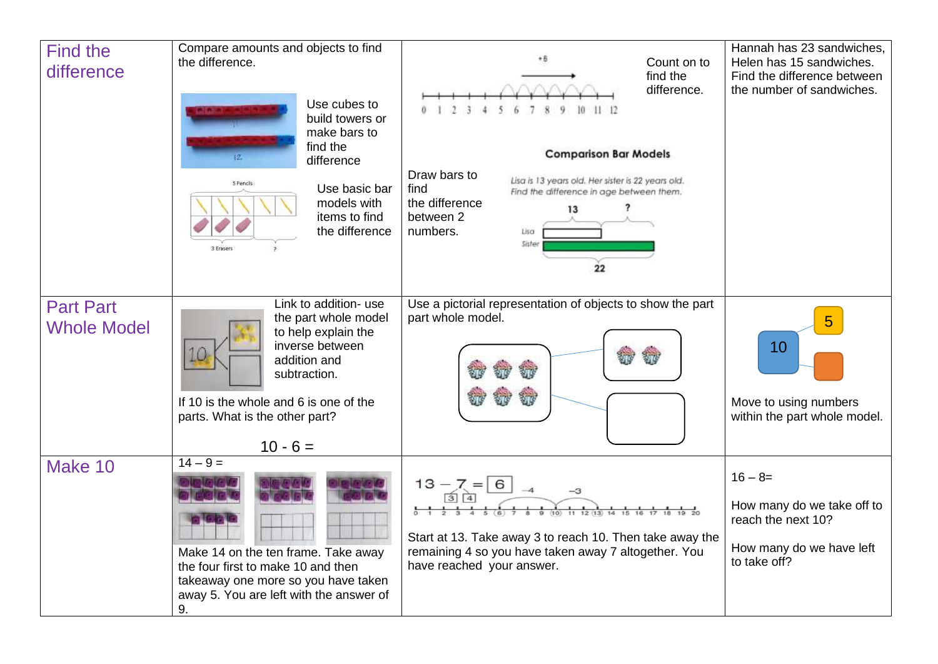| <b>Find the</b><br>difference          | Compare amounts and objects to find<br>the difference.<br>Use cubes to<br>build towers or<br>make bars to<br>find the<br>difference<br>5 Pencils<br>Use basic bar<br>models with<br>items to find<br>the difference<br>3 Ecasers | Count on to<br>find the<br>difference.<br><b>Comparison Bar Models</b><br>Draw bars to<br>Lisa is 13 years old. Her sister is 22 years old.<br>find<br>Find the difference in age between them.<br>the difference<br>13<br>between 2<br>numbers.<br>Sister<br>22 | Hannah has 23 sandwiches,<br>Helen has 15 sandwiches.<br>Find the difference between<br>the number of sandwiches. |
|----------------------------------------|----------------------------------------------------------------------------------------------------------------------------------------------------------------------------------------------------------------------------------|------------------------------------------------------------------------------------------------------------------------------------------------------------------------------------------------------------------------------------------------------------------|-------------------------------------------------------------------------------------------------------------------|
| <b>Part Part</b><br><b>Whole Model</b> | Link to addition- use<br>the part whole model<br>to help explain the<br>inverse between<br>addition and<br>subtraction.<br>If 10 is the whole and 6 is one of the<br>parts. What is the other part?<br>$10 - 6 =$                | Use a pictorial representation of objects to show the part<br>part whole model.                                                                                                                                                                                  | 10<br>Move to using numbers<br>within the part whole model.                                                       |
| Make 10                                | $14 - 9 =$<br>Make 14 on the ten frame. Take away<br>the four first to make 10 and then<br>takeaway one more so you have taken<br>away 5. You are left with the answer of<br>9.                                                  | $13 - 7 = 6$<br>Start at 13. Take away 3 to reach 10. Then take away the<br>remaining 4 so you have taken away 7 altogether. You<br>have reached your answer.                                                                                                    | $16 - 8 =$<br>How many do we take off to<br>reach the next 10?<br>How many do we have left<br>to take off?        |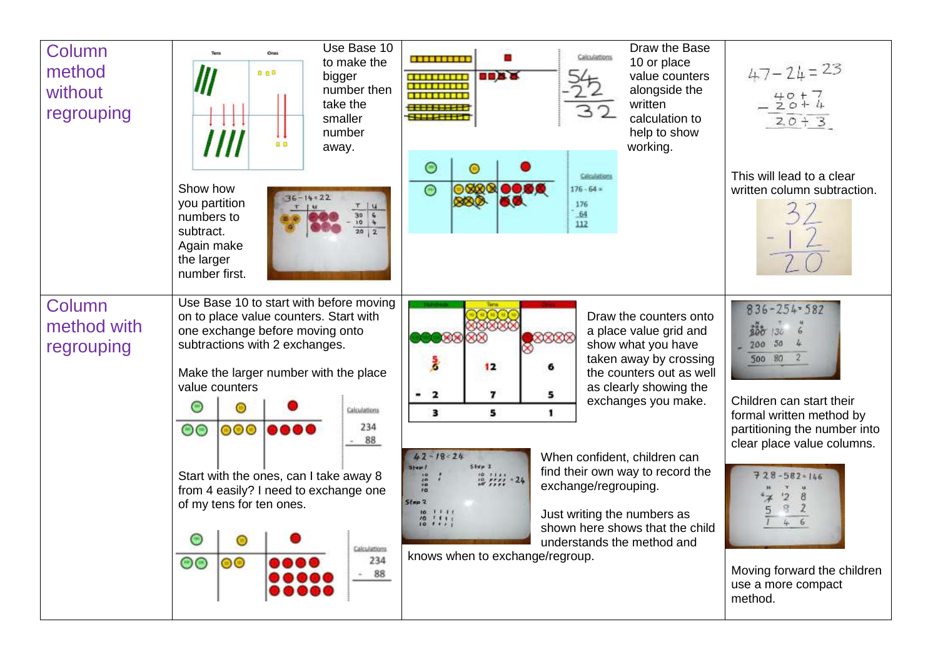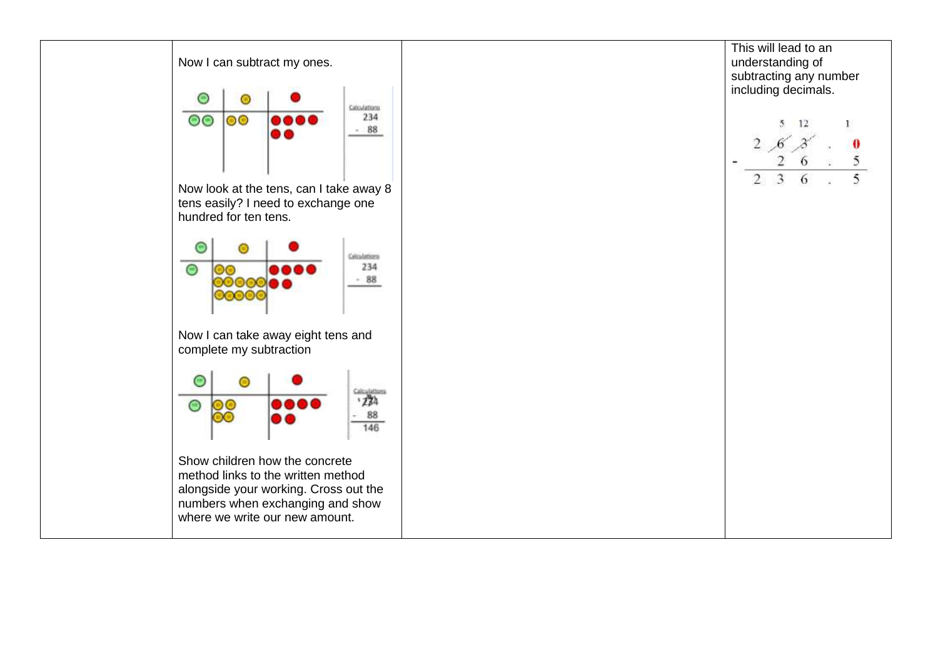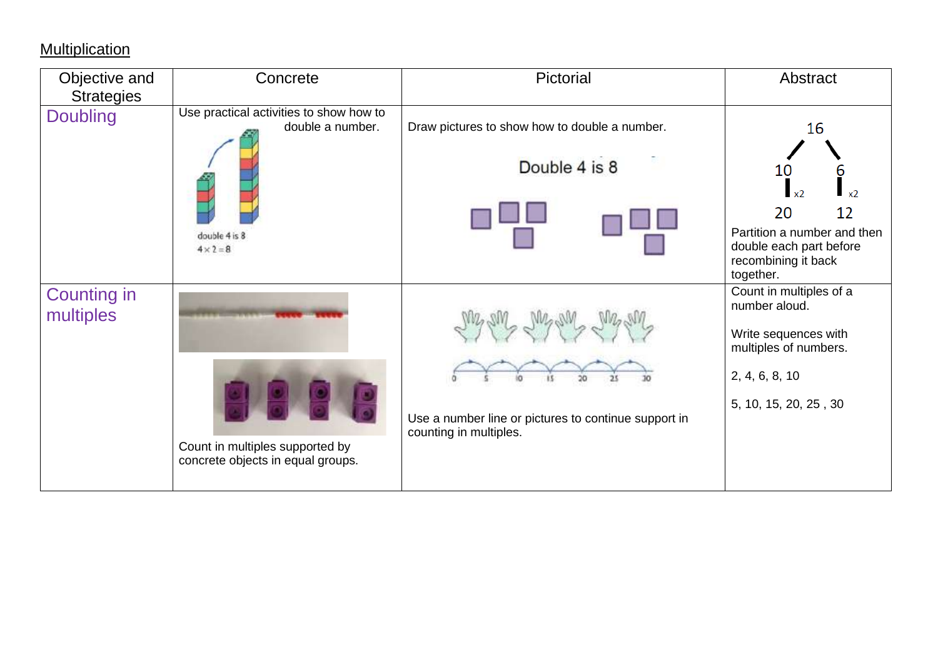# **Multiplication**

| Objective and                        | Concrete                                                                                         | Pictorial                                                                      | Abstract                                                                                                                                                    |
|--------------------------------------|--------------------------------------------------------------------------------------------------|--------------------------------------------------------------------------------|-------------------------------------------------------------------------------------------------------------------------------------------------------------|
| <b>Strategies</b><br><b>Doubling</b> | Use practical activities to show how to<br>double a number.<br>double 4 is 8<br>$4 \times 2 = 8$ | Draw pictures to show how to double a number.<br>Double 4 is 8                 | 16<br>10<br>6<br>x <sub>2</sub><br>x <sub>2</sub><br>12<br>20<br>Partition a number and then<br>double each part before<br>recombining it back<br>together. |
| <b>Counting in</b><br>multiples      | Count in multiples supported by<br>concrete objects in equal groups.                             | Use a number line or pictures to continue support in<br>counting in multiples. | Count in multiples of a<br>number aloud.<br>Write sequences with<br>multiples of numbers.<br>2, 4, 6, 8, 10<br>5, 10, 15, 20, 25, 30                        |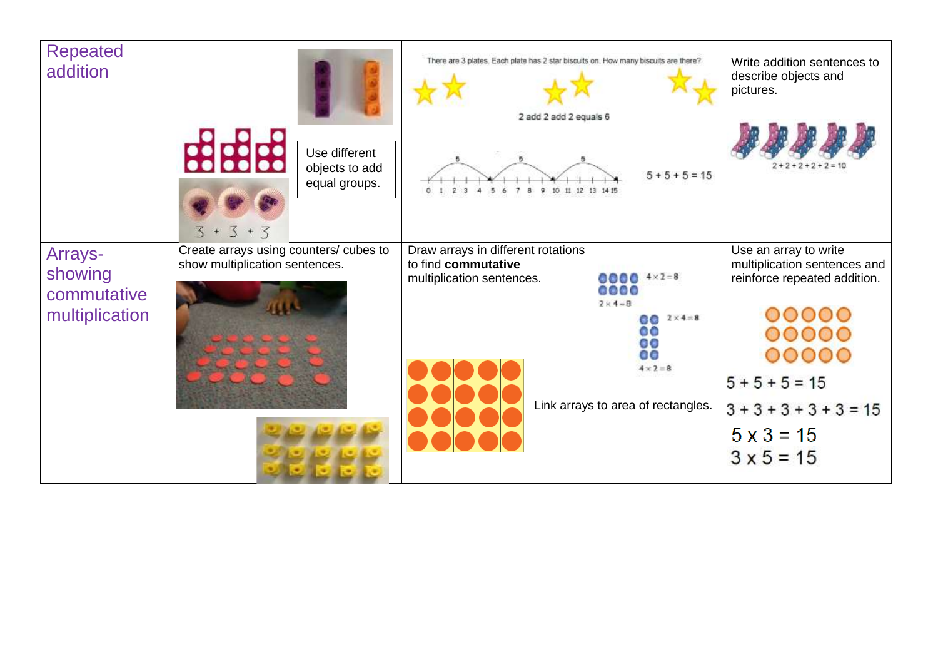| <b>Repeated</b><br>addition                         | <b>BBBB</b><br>Use different<br>objects to add                                                           | There are 3 plates. Each plate has 2 star biscuits on. How many biscuits are there?<br>2 add 2 add 2 equals 6<br>$5 + 5 + 5 = 15$                                                                                             | Write addition sentences to<br>describe objects and<br>pictures.                                        |
|-----------------------------------------------------|----------------------------------------------------------------------------------------------------------|-------------------------------------------------------------------------------------------------------------------------------------------------------------------------------------------------------------------------------|---------------------------------------------------------------------------------------------------------|
| Arrays-<br>showing<br>commutative<br>multiplication | equal groups.<br>$3 + 3 + 3$<br>Create arrays using counters/ cubes to<br>show multiplication sentences. | 9<br>10 11 12 13 14 15<br>8<br>Draw arrays in different rotations<br>to find commutative<br>$0000$ $4 \times 2 = 8$<br>multiplication sentences.<br>0000<br>$2 \times 4 - 8$<br>$60 \t 2 \times 4 = 8$<br>٥٥<br>$\circ$<br>00 | Use an array to write<br>multiplication sentences and<br>reinforce repeated addition.<br>00000<br>00000 |
|                                                     |                                                                                                          | $4 \times 2 = 8$<br>Link arrays to area of rectangles.                                                                                                                                                                        | $5 + 5 + 5 = 15$<br>$3 + 3 + 3 + 3 + 3 = 15$<br>$5 \times 3 = 15$<br>$3 × 5 = 15$                       |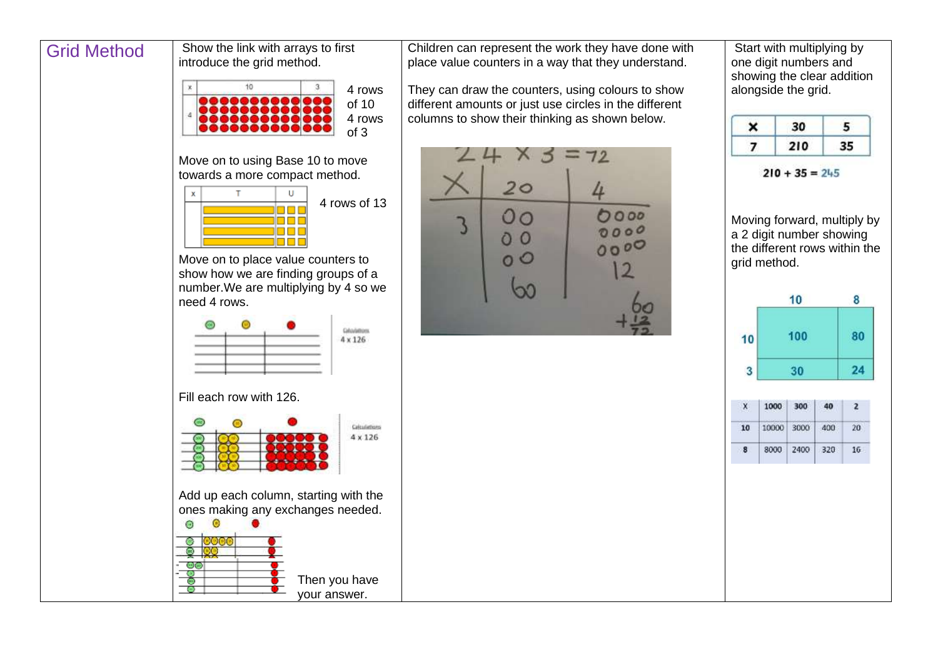### Grid Method Show the link with arrays to first

#### introduce the grid method. 4 rows ,,,,,,, of 10 4 rows of 3

Move on to using Base 10 to move towards a more compact method.



Move on to place value counters to show how we are finding groups of a number.We are multiplying by 4 so we need 4 rows.



Fill each row with 126.



your answer.

Children can represent the work they have done with place value counters in a way that they understand.

They can draw the counters, using colours to show different amounts or just use circles in the different columns to show their thinking as shown below.



Start with multiplying by one digit numbers and showing the clear addition alongside the grid.

| 210 |  |
|-----|--|

 $210 + 35 = 245$ 

Moving forward, multiply by a 2 digit number showing the different rows within the grid method.

|    | 10  | 8  |
|----|-----|----|
| 10 | 100 | 80 |
| 3  | 30  |    |
|    |     |    |

|    | 1000 300       |               | 40 |    |
|----|----------------|---------------|----|----|
| 10 | 10000 3000 400 |               |    | 20 |
| 8  |                | 8000 2400 320 |    |    |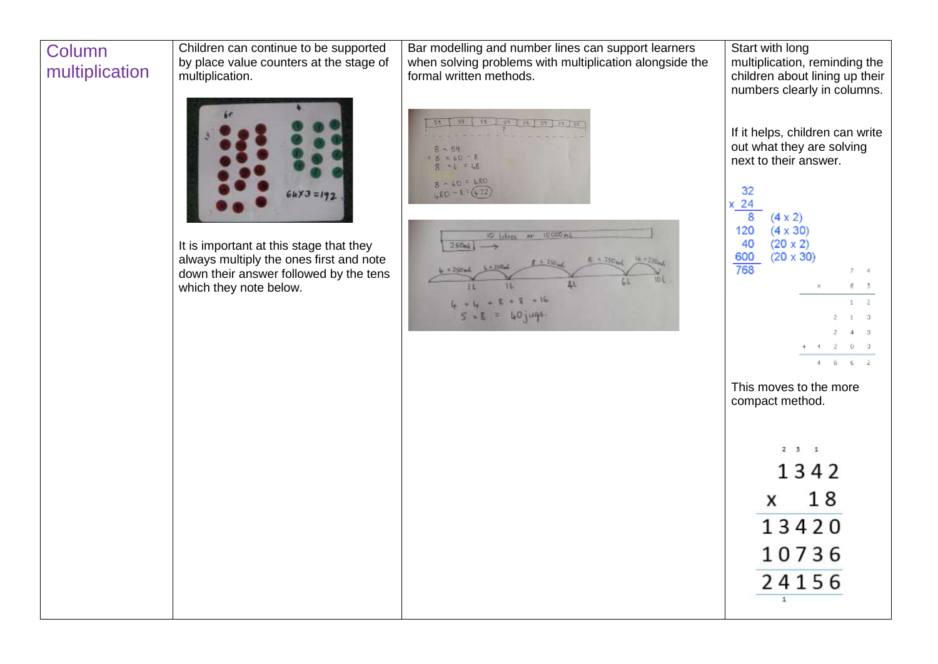#### **Column** multiplication

Children can continue to be supported by place value counters at the stage of multiplication.



It is important at this stage that they always multiply the ones first and note down their answer followed by the tens which they note below.

Bar modelling and number lines can support learners when solving problems with multiplication alongside the formal written methods.

| 59<br>$-1.59$                            | 59 59 59 59 59 59 |
|------------------------------------------|-------------------|
|                                          |                   |
| 859<br>$= 8 \times 60 = 8$<br>$M G = 48$ |                   |
| $8 - 60 = 480$<br>$480 - 8 = (472)$      |                   |



| Start with long<br>multiplication, reminding the<br>children about lining up their<br>numbers clearly in columns. |             |    |    |    |           |
|-------------------------------------------------------------------------------------------------------------------|-------------|----|----|----|-----------|
| If it helps, children can write<br>out what they are solving<br>next to their answer.                             |             |    |    |    |           |
| 32<br>$(4 \times 2)$<br>$(4 \times 30)$<br>120<br>40<br>$(20 \times 2)$<br>600<br>$(20 \times 30)$                |             |    |    |    |           |
| 768                                                                                                               |             |    |    | 7  | 4         |
|                                                                                                                   |             | ×  |    | 6  | 3         |
|                                                                                                                   |             |    |    | 1  | $\bar{2}$ |
|                                                                                                                   |             |    | 2  | 1  | 0.        |
|                                                                                                                   |             |    | 2. | 4  | 0         |
|                                                                                                                   |             | 4  | 2  | Ŭ. | Ŭ.        |
|                                                                                                                   |             | 4  | 6  | 6  | ż         |
| This moves to the more<br>compact method.                                                                         |             |    |    |    |           |
| $\overline{2}$                                                                                                    | $3 \quad 1$ |    |    |    |           |
| 1342                                                                                                              |             |    |    |    |           |
| x                                                                                                                 |             | 18 |    |    |           |
|                                                                                                                   |             |    |    |    |           |
| 13420                                                                                                             |             |    |    |    |           |

10736

24156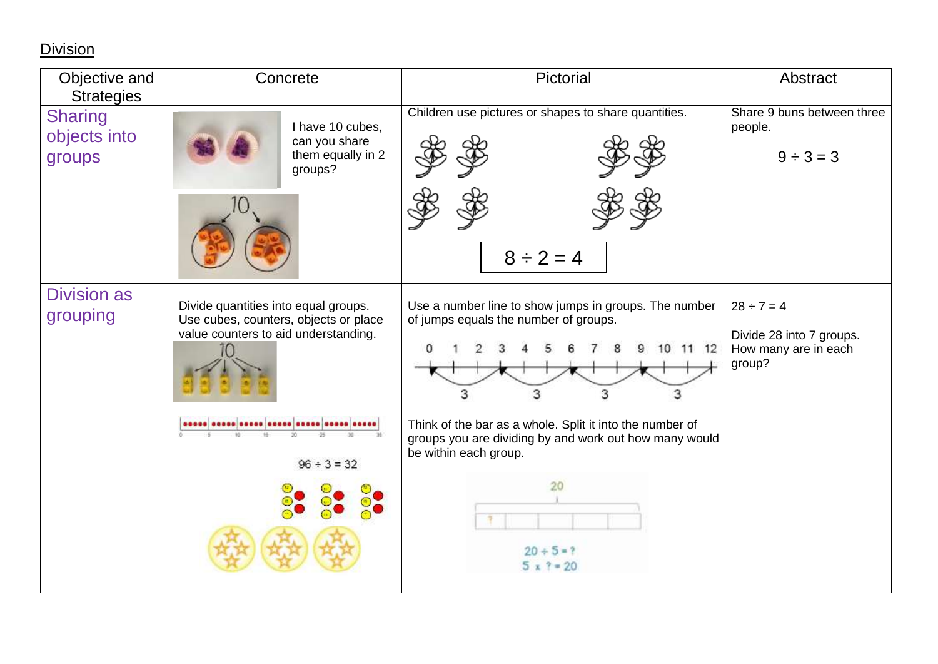**Division** 

| Objective and<br><b>Strategies</b>       | Pictorial<br>Concrete                                                                                                 |                                                                                                                                                                                   | Abstract                                                                      |
|------------------------------------------|-----------------------------------------------------------------------------------------------------------------------|-----------------------------------------------------------------------------------------------------------------------------------------------------------------------------------|-------------------------------------------------------------------------------|
| <b>Sharing</b><br>objects into<br>groups | I have 10 cubes.<br>can you share<br>them equally in 2<br>groups?                                                     | Children use pictures or shapes to share quantities.<br>$8 \div 2 = 4$                                                                                                            | Share 9 buns between three<br>people.<br>$9 \div 3 = 3$                       |
| <b>Division as</b><br>grouping           | Divide quantities into equal groups.<br>Use cubes, counters, objects or place<br>value counters to aid understanding. | Use a number line to show jumps in groups. The number<br>of jumps equals the number of groups.<br>10 11 12<br>З<br>3                                                              | $28 \div 7 = 4$<br>Divide 28 into 7 groups.<br>How many are in each<br>group? |
|                                          | $96 \div 3 = 32$                                                                                                      | Think of the bar as a whole. Split it into the number of<br>groups you are dividing by and work out how many would<br>be within each group.<br>20<br>$20 + 5 = ?$<br>$5 x ? = 20$ |                                                                               |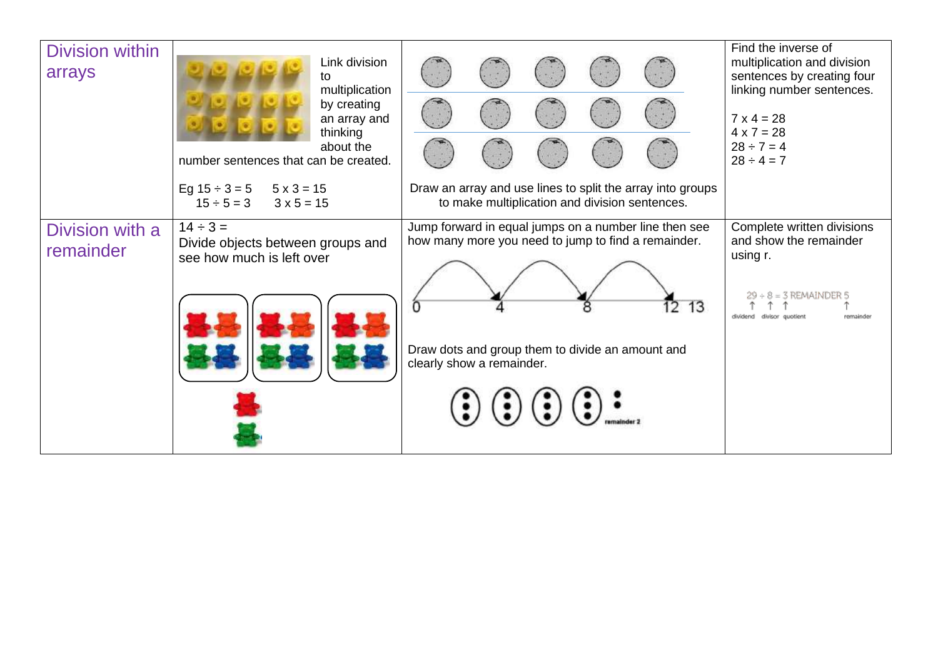| <b>Division within</b><br>arrays | Link division<br>to<br>multiplication<br>by creating<br>an array and<br>thinking<br>about the<br>number sentences that can be created. |                                                                                                                                                                                                                                                                                                 | Find the inverse of<br>multiplication and division<br>sentences by creating four<br>linking number sentences.<br>$7 \times 4 = 28$<br>$4 \times 7 = 28$<br>$28 \div 7 = 4$<br>$28 \div 4 = 7$ |
|----------------------------------|----------------------------------------------------------------------------------------------------------------------------------------|-------------------------------------------------------------------------------------------------------------------------------------------------------------------------------------------------------------------------------------------------------------------------------------------------|-----------------------------------------------------------------------------------------------------------------------------------------------------------------------------------------------|
|                                  | Eg $15 \div 3 = 5$ $5 \times 3 = 15$<br>$15 \div 5 = 3$<br>$3 \times 5 = 15$                                                           | Draw an array and use lines to split the array into groups<br>to make multiplication and division sentences.                                                                                                                                                                                    |                                                                                                                                                                                               |
| Division with a<br>remainder     | $14 \div 3 =$<br>Divide objects between groups and<br>see how much is left over                                                        | Jump forward in equal jumps on a number line then see<br>how many more you need to jump to find a remainder.<br>12 13<br>Draw dots and group them to divide an amount and<br>clearly show a remainder.<br>$\left(\frac{1}{2}\right)\left(\frac{1}{2}\right)\left(\frac{1}{2}\right)\frac{1}{2}$ | Complete written divisions<br>and show the remainder<br>using r.<br>÷ 8 = 3 REMAINDER 5<br>dividend divisor quotient<br>remainder                                                             |